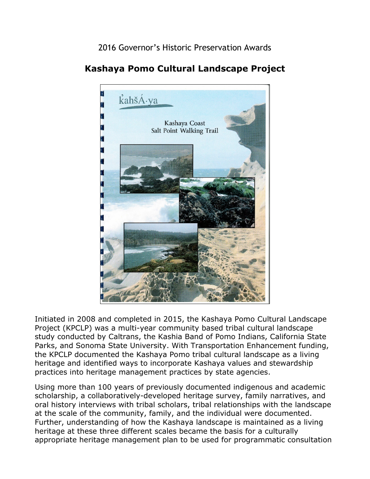2016 Governor's Historic Preservation Awards



## **Kashaya Pomo Cultural Landscape Project**

 study conducted by Caltrans, the Kashia Band of Pomo Indians, California State Initiated in 2008 and completed in 2015, the Kashaya Pomo Cultural Landscape Project (KPCLP) was a multi-year community based tribal cultural landscape Parks, and Sonoma State University. With Transportation Enhancement funding, the KPCLP documented the Kashaya Pomo tribal cultural landscape as a living heritage and identified ways to incorporate Kashaya values and stewardship practices into heritage management practices by state agencies.

 at the scale of the community, family, and the individual were documented. Using more than 100 years of previously documented indigenous and academic scholarship, a collaboratively-developed heritage survey, family narratives, and oral history interviews with tribal scholars, tribal relationships with the landscape Further, understanding of how the Kashaya landscape is maintained as a living heritage at these three different scales became the basis for a culturally appropriate heritage management plan to be used for programmatic consultation